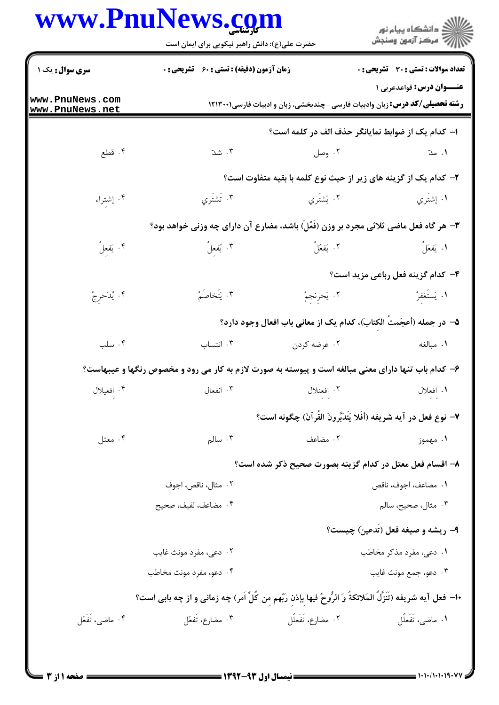## **WWW PniiNews com**

|                                    | www.PnuNews.com<br>حضرت علی(ع): دانش راهبر نیکویی برای ایمان است                                             |                       | ِ<br>∭ دانشڪاه پيام نور<br>∭ مرڪز آزمون وسنڊش                                                                         |  |  |
|------------------------------------|--------------------------------------------------------------------------------------------------------------|-----------------------|-----------------------------------------------------------------------------------------------------------------------|--|--|
| سری سوال: یک ۱                     | <b>زمان آزمون (دقیقه) : تستی : 60 ٪ تشریحی : 0</b>                                                           |                       | <b>تعداد سوالات : تستی : 30 ٪ تشریحی : 0</b>                                                                          |  |  |
| www.PnuNews.com<br>www.PnuNews.net |                                                                                                              |                       | <b>عنـــوان درس:</b> قواعدعربي 1<br><b>رشته تحصیلی/کد درس:</b> زبان وادبیات فارسی -چندبخشی، زبان و ادبیات فارسی۲۱۳۰۰۱ |  |  |
|                                    |                                                                                                              |                       | ا– كدام يك از ضوابط نمايانگر حذف الف در كلمه است؟                                                                     |  |  |
| ۰۴ قطع                             | $\ddot{\text{m}}$ . ٣                                                                                        | ۰۲ وصل                | ۰۱ مدّ                                                                                                                |  |  |
|                                    | ۲- کدام یک از گزینه های زیر از حیث نوع کلمه با بقیه متفاوت است؟                                              |                       |                                                                                                                       |  |  |
| ۰۴ إشتراء                          | ۰۳ تَشتَري                                                                                                   | ۰۲ يَشتَري            | ۰۱ إشتَري                                                                                                             |  |  |
|                                    | 3- هر گاه فعل ماضی ثلاثی مجرد بر وزن (فَعُلَ) باشد، مضارع آن دارای چه وزنی خواهد بود؟                        |                       |                                                                                                                       |  |  |
| ۰۴ يَفعِلُ                         | ۰۳ يُفعلُ                                                                                                    | ۰۲ يَفعُلُ            | ١. يَفعَلُ                                                                                                            |  |  |
|                                    |                                                                                                              |                       | ۴- كدام گزينه فعل رباعي مزيد است؟                                                                                     |  |  |
| ۰۴ يُدَحرِجُ                       | ۰۳ يَتَخاصَمُ                                                                                                | ٠٢ يَحرنجمُ           | 1. يَستَغفرُ                                                                                                          |  |  |
|                                    |                                                                                                              |                       | ۵–  در جمله (أعجَمتُ الكتاب)، كدام يک از معانى باب افعال وجود دارد؟                                                   |  |  |
| ۰۴ سلب                             | ۰۳ انتساب                                                                                                    | ۰۲ عرضه کردن          | ٠١. مبالغه                                                                                                            |  |  |
|                                    | ۶- کدام باب تنها دارای معنی مبالغه است و پیوسته به صورت لازم به کار می رود و مخصوص رنگها و عیبهاست؟          |                       |                                                                                                                       |  |  |
| ۰۴ افعیلال                         | ۰۳ انفعال                                                                                                    | ۰۲ افعنلال            | ۱. افعلال                                                                                                             |  |  |
|                                    |                                                                                                              |                       | ٧- نوع فعل در آيه شريفه (أفَلا يَتَدَّبَّرونَ القُرآنَ) چگونه است؟                                                    |  |  |
| ۰۴ معتل                            | $\cdot$ سالم                                                                                                 | ۰۲ مضاعف              | ۰۱ مهموز                                                                                                              |  |  |
|                                    |                                                                                                              |                       | ۸– اقسام فعل معتل در کدام گزینه بصورت صحیح ذکر شده است؟                                                               |  |  |
|                                    | ۰۲ مثال، ناقص، اجوف                                                                                          | ٠١. مضاعف، اجوف، ناقص |                                                                                                                       |  |  |
|                                    | ۰۲ مضاعف، لفيف، صحيح                                                                                         |                       | ۰۳ مثال، صحیح، سالم                                                                                                   |  |  |
|                                    |                                                                                                              |                       | ۹- ریشه و صیغه فعل (تدعین) چیست؟                                                                                      |  |  |
|                                    | ۰۲ دعی، مفرد مونث غایب                                                                                       |                       | ۰۱ دعی، مفرد مذکر مخاطب                                                                                               |  |  |
|                                    | ۰۴ دعو، مفرد مونث مخاطب                                                                                      |                       | ۰۳ دعو، جمع مونث غايب                                                                                                 |  |  |
|                                    | ∙ا− فعل آيه شريفه (تَنَزّلُ المَلائكةُ وَ الرُّوحُ فيها بإذن ربّهم من كُلٍّ اَمر) چه زمانى و از چه بابى است؟ |                       |                                                                                                                       |  |  |
| ۰۴ ماضی، تَفَعّل                   | ۰۳ مضارع، تفعّل                                                                                              | ۰۲ مضارع، تفعلل       | ۰۱ ماضی، تفعلل                                                                                                        |  |  |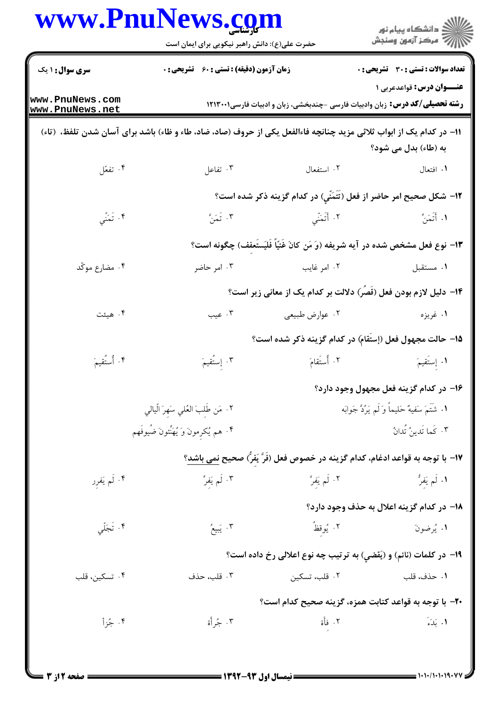|                                    | www.PnuNews.com<br>حضرت علی(ع): دانش راهبر نیکویی برای ایمان است                                                    |                                                                                    | ر<br>دانشڪاه پيام نور)<br>ا∛ مرڪز آزمون وسنڊش |
|------------------------------------|---------------------------------------------------------------------------------------------------------------------|------------------------------------------------------------------------------------|-----------------------------------------------|
| <b>سری سوال : ۱ یک</b>             | زمان آزمون (دقیقه) : تستی : ۶۰٪ تشریحی : ۰                                                                          |                                                                                    | تعداد سوالات : تستي : 30 ٪ تشريحي : 0         |
| www.PnuNews.com<br>www.PnuNews.net |                                                                                                                     | <b>رشته تحصیلی/کد درس:</b> زبان وادبیات فارسی -چندبخشی، زبان و ادبیات فارسی1۲۱۳۰۰۱ | عنــوان درس: قواعدعربی ۱                      |
|                                    | 1۱– در کدام یک از ابواب ثلاثی مزید چنانچه فاءالفعل یکی از حروف (صاد، ضاد، طاء و ظاء) باشد برای آسان شدن تلفظ، (تاء) |                                                                                    | به (طاء) بدل می شود؟                          |
| ۰۴ تفعّل                           | ۰۳ تفاعل                                                                                                            | ۰۲ استفعال                                                                         | ١. افتعال                                     |
|                                    |                                                                                                                     | ۱۲– شکل صحیح امر حاضر از فعل (تَتَمَنِّي) در کدام گزینه ذکر شده است؟               |                                               |
| ۴. تَمَنَّي                        | ۰۳ تَمَنَّ                                                                                                          | ٢. أَتَمَنِّي                                                                      | ١. أَتَمَنِّ                                  |
|                                    |                                                                                                                     | ١٣- نوع فعل مشخص شده در آيه شريفه (وَ مَن كانَ غَنّيّاً فَلَيَستَعفف) چگونه است؟   |                                               |
| ۰۴ مضارع موكّد                     | ۰۳ امر حاضر                                                                                                         | ۰۲ امر غایب                                                                        | ٠١ مستقبل                                     |
|                                    |                                                                                                                     | ۱۴– دلیل لازم بودن فعل (قَصَر) دلالت بر کدام یک از معانی زیر است؟                  |                                               |
| ۰۴ هیئت                            | ۰۳ عیب                                                                                                              | ۰۲ عوارض طبیعی                                                                     | ۱. غريزه                                      |
|                                    |                                                                                                                     | ۱۵– حالت مجهول فعل (إستَقام) در کدام گزینه ذکر شده است؟                            |                                               |
| ۴. أُستُقيمَ                       | ۴. إِستُقيمَ                                                                                                        | ٢. أُستَقامَ                                                                       | ١. إِستَقيمَ                                  |
|                                    |                                                                                                                     |                                                                                    | ۱۶– در کدام گزینه فعل مجهول وجود دارد؟        |
|                                    | ٢. مَن طَلبَ العُلي سَهرَ الّيالي                                                                                   | ١. شَتَمَ سَفيهٌ حَليماً وَ لَم يَرُدَّ جَوابَه                                    |                                               |
|                                    | ۰۴ هم يُكرمونَ وَ يُهَنِّئونَ ضُيوفَهم                                                                              |                                                                                    | ٠٣ كَما تَدينُ تُدانُ                         |
|                                    |                                                                                                                     | ١٧– با توجه به قواعد ادغام، كدام گزينه در خصوص فعل (فَرَّ يَفْرُ) صحيح نمى باشد؟   |                                               |
| ۰۴ لَم یَفرر                       | ۰۳ لَم يَفرِّ                                                                                                       | ٢. لَم يَفرَّ                                                                      | ۱. لَم يَفرُّ                                 |
|                                    |                                                                                                                     |                                                                                    | 1۸– در کدام گزینه اعلال به حذف وجود دارد؟     |
| ۰۴ تَجَلِّي                        | ۰۳ يَبِيعُ                                                                                                          | ٢. يُوقظُ                                                                          | ١. يُرضونَ                                    |
|                                    |                                                                                                                     | ۱۹- در کلمات (نائم) و (یَقضی) به ترتیب چه نوع اعلالی رخ داده است؟                  |                                               |
| ۰۴ تسکین، قلب                      | ۰۳ قلب، حذف                                                                                                         | ۰۲ قلب، تسکین                                                                      | ٠١ حذف، قلب                                   |
|                                    |                                                                                                                     | +٢- با توجه به قواعد كتابت همزه، گزينه صحيح كدام است؟                              |                                               |
| ۰۴ جُزأ                            | ۰۳ جُرأة                                                                                                            | ٢. فأَة                                                                            | ١. بَدَءَ                                     |

 $= 1.1 - 11.1 - 19.$